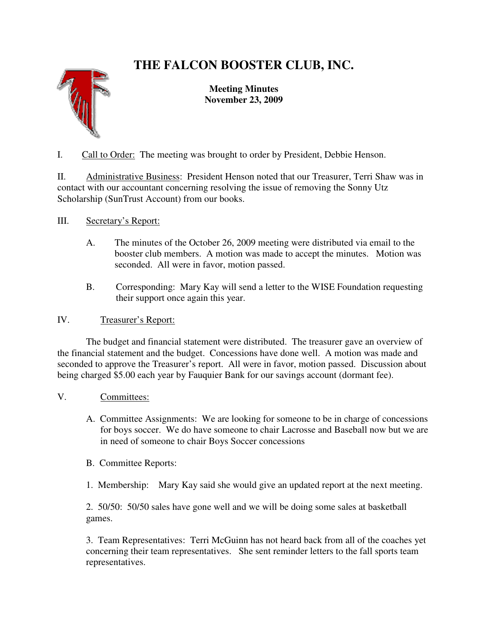# **THE FALCON BOOSTER CLUB, INC.**



**Meeting Minutes November 23, 2009** 

I. Call to Order: The meeting was brought to order by President, Debbie Henson.

II. Administrative Business: President Henson noted that our Treasurer, Terri Shaw was in contact with our accountant concerning resolving the issue of removing the Sonny Utz Scholarship (SunTrust Account) from our books.

- III. Secretary's Report:
	- A. The minutes of the October 26, 2009 meeting were distributed via email to the booster club members. A motion was made to accept the minutes. Motion was seconded. All were in favor, motion passed.
	- B. Corresponding: Mary Kay will send a letter to the WISE Foundation requesting their support once again this year.

## IV. Treasurer's Report:

 The budget and financial statement were distributed. The treasurer gave an overview of the financial statement and the budget. Concessions have done well. A motion was made and seconded to approve the Treasurer's report. All were in favor, motion passed. Discussion about being charged \$5.00 each year by Fauquier Bank for our savings account (dormant fee).

- V. Committees:
	- A. Committee Assignments: We are looking for someone to be in charge of concessions for boys soccer. We do have someone to chair Lacrosse and Baseball now but we are in need of someone to chair Boys Soccer concessions
	- B. Committee Reports:

1. Membership: Mary Kay said she would give an updated report at the next meeting.

2. 50/50: 50/50 sales have gone well and we will be doing some sales at basketball games.

3. Team Representatives: Terri McGuinn has not heard back from all of the coaches yet concerning their team representatives. She sent reminder letters to the fall sports team representatives.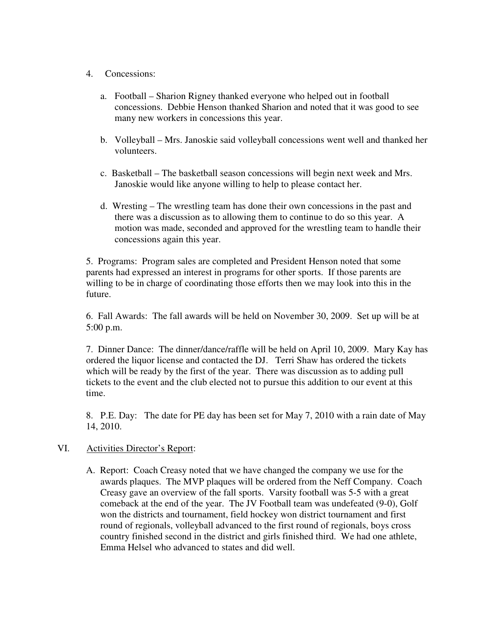#### 4. Concessions:

- a. Football Sharion Rigney thanked everyone who helped out in football concessions. Debbie Henson thanked Sharion and noted that it was good to see many new workers in concessions this year.
- b. Volleyball Mrs. Janoskie said volleyball concessions went well and thanked her volunteers.
- c. Basketball The basketball season concessions will begin next week and Mrs. Janoskie would like anyone willing to help to please contact her.
- d. Wresting The wrestling team has done their own concessions in the past and there was a discussion as to allowing them to continue to do so this year. A motion was made, seconded and approved for the wrestling team to handle their concessions again this year.

5. Programs: Program sales are completed and President Henson noted that some parents had expressed an interest in programs for other sports. If those parents are willing to be in charge of coordinating those efforts then we may look into this in the future.

6. Fall Awards: The fall awards will be held on November 30, 2009. Set up will be at 5:00 p.m.

7. Dinner Dance: The dinner/dance/raffle will be held on April 10, 2009. Mary Kay has ordered the liquor license and contacted the DJ. Terri Shaw has ordered the tickets which will be ready by the first of the year. There was discussion as to adding pull tickets to the event and the club elected not to pursue this addition to our event at this time.

8. P.E. Day: The date for PE day has been set for May 7, 2010 with a rain date of May 14, 2010.

#### VI. Activities Director's Report:

A. Report: Coach Creasy noted that we have changed the company we use for the awards plaques. The MVP plaques will be ordered from the Neff Company. Coach Creasy gave an overview of the fall sports. Varsity football was 5-5 with a great comeback at the end of the year. The JV Football team was undefeated (9-0), Golf won the districts and tournament, field hockey won district tournament and first round of regionals, volleyball advanced to the first round of regionals, boys cross country finished second in the district and girls finished third. We had one athlete, Emma Helsel who advanced to states and did well.